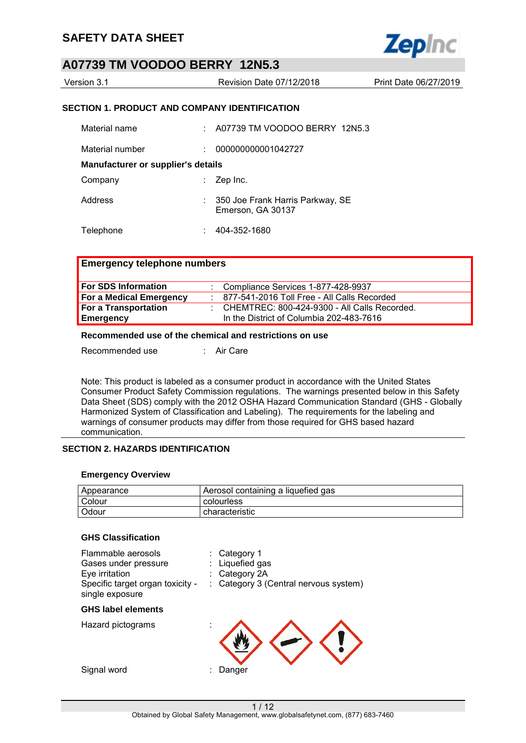

| Version 3.1 | Revision Date 07/12/2018 | Print Date 06/27/2019 |
|-------------|--------------------------|-----------------------|
|             |                          |                       |

#### **SECTION 1. PRODUCT AND COMPANY IDENTIFICATION**

| Material name                             | ÷. | A07739 TM VOODOO BERRY 12N5.3                         |
|-------------------------------------------|----|-------------------------------------------------------|
| Material number                           | ÷. | 000000000001042727                                    |
| <b>Manufacturer or supplier's details</b> |    |                                                       |
| Company                                   | t. | Zep Inc.                                              |
| Address                                   |    | 350 Joe Frank Harris Parkway, SE<br>Emerson, GA 30137 |
| Telephone                                 | ÷  | 404-352-1680                                          |

#### **Emergency telephone numbers**

| <b>For SDS Information</b>  | $\therefore$ Compliance Services 1-877-428-9937 |
|-----------------------------|-------------------------------------------------|
| For a Medical Emergency     | : 877-541-2016 Toll Free - All Calls Recorded   |
| <b>For a Transportation</b> | : CHEMTREC: 800-424-9300 - All Calls Recorded.  |
| Emergency                   | In the District of Columbia 202-483-7616        |

### **Recommended use of the chemical and restrictions on use**

Recommended use : Air Care

Note: This product is labeled as a consumer product in accordance with the United States Consumer Product Safety Commission regulations. The warnings presented below in this Safety Data Sheet (SDS) comply with the 2012 OSHA Hazard Communication Standard (GHS - Globally Harmonized System of Classification and Labeling). The requirements for the labeling and warnings of consumer products may differ from those required for GHS based hazard communication.

### **SECTION 2. HAZARDS IDENTIFICATION**

#### **Emergency Overview**

| Appearance | Aerosol containing a liquefied gas |
|------------|------------------------------------|
| Colour     | colourless                         |
| Odour      | characteristic                     |

#### **GHS Classification**

| Flammable aerosols<br>Gases under pressure<br>Eye irritation<br>Specific target organ toxicity -<br>single exposure | Category 1<br>Liquefied gas<br>Category 2A<br>Category 3 (Central nervous system) |
|---------------------------------------------------------------------------------------------------------------------|-----------------------------------------------------------------------------------|
| <b>GHS label elements</b>                                                                                           |                                                                                   |
| Hazard pictograms                                                                                                   |                                                                                   |
| Signal word                                                                                                         | Danger                                                                            |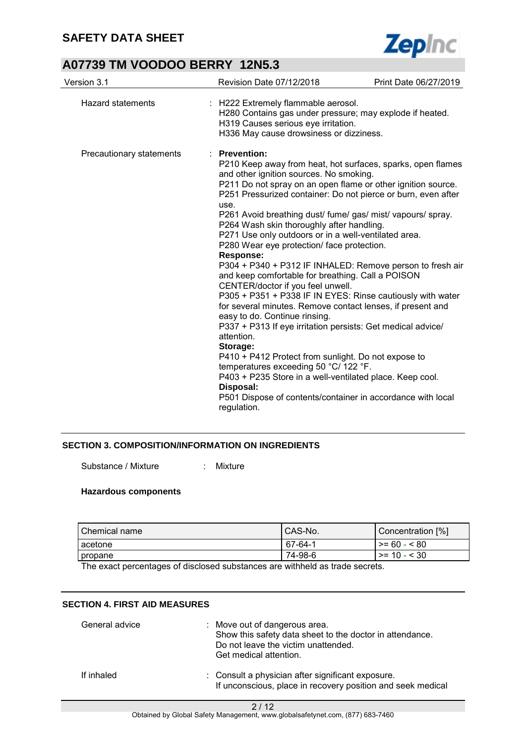

| Version 3.1              | Revision Date 07/12/2018                                                                                                                                                                                                                                                                                                                                                                                                                                                                                                                                                                                                                                                                                                                                                                                                                                                                                                                                                                                                                                                                                                                                                   | Print Date 06/27/2019 |
|--------------------------|----------------------------------------------------------------------------------------------------------------------------------------------------------------------------------------------------------------------------------------------------------------------------------------------------------------------------------------------------------------------------------------------------------------------------------------------------------------------------------------------------------------------------------------------------------------------------------------------------------------------------------------------------------------------------------------------------------------------------------------------------------------------------------------------------------------------------------------------------------------------------------------------------------------------------------------------------------------------------------------------------------------------------------------------------------------------------------------------------------------------------------------------------------------------------|-----------------------|
| <b>Hazard statements</b> | : H222 Extremely flammable aerosol.<br>H280 Contains gas under pressure; may explode if heated.<br>H319 Causes serious eye irritation.<br>H336 May cause drowsiness or dizziness.                                                                                                                                                                                                                                                                                                                                                                                                                                                                                                                                                                                                                                                                                                                                                                                                                                                                                                                                                                                          |                       |
| Precautionary statements | : Prevention:<br>P210 Keep away from heat, hot surfaces, sparks, open flames<br>and other ignition sources. No smoking.<br>P211 Do not spray on an open flame or other ignition source.<br>P251 Pressurized container: Do not pierce or burn, even after<br>use.<br>P261 Avoid breathing dust/ fume/ gas/ mist/ vapours/ spray.<br>P264 Wash skin thoroughly after handling.<br>P271 Use only outdoors or in a well-ventilated area.<br>P280 Wear eye protection/ face protection.<br><b>Response:</b><br>P304 + P340 + P312 IF INHALED: Remove person to fresh air<br>and keep comfortable for breathing. Call a POISON<br>CENTER/doctor if you feel unwell.<br>P305 + P351 + P338 IF IN EYES: Rinse cautiously with water<br>for several minutes. Remove contact lenses, if present and<br>easy to do. Continue rinsing.<br>P337 + P313 If eye irritation persists: Get medical advice/<br>attention.<br>Storage:<br>P410 + P412 Protect from sunlight. Do not expose to<br>temperatures exceeding 50 °C/ 122 °F.<br>P403 + P235 Store in a well-ventilated place. Keep cool.<br>Disposal:<br>P501 Dispose of contents/container in accordance with local<br>regulation. |                       |

## **SECTION 3. COMPOSITION/INFORMATION ON INGREDIENTS**

Substance / Mixture : Mixture

### **Hazardous components**

| I Chemical name | CAS-No. | Concentration [%]    |
|-----------------|---------|----------------------|
| l acetone.      | 67-64-1 | $\ge$ = 60 - < 80    |
| ∥propane        | 74-98-6 | $\vert$ >= 10 - < 30 |

The exact percentages of disclosed substances are withheld as trade secrets.

#### **SECTION 4. FIRST AID MEASURES**

| General advice | : Move out of dangerous area.<br>Show this safety data sheet to the doctor in attendance.<br>Do not leave the victim unattended.<br>Get medical attention. |
|----------------|------------------------------------------------------------------------------------------------------------------------------------------------------------|
| If inhaled     | : Consult a physician after significant exposure.<br>If unconscious, place in recovery position and seek medical                                           |

2 / 12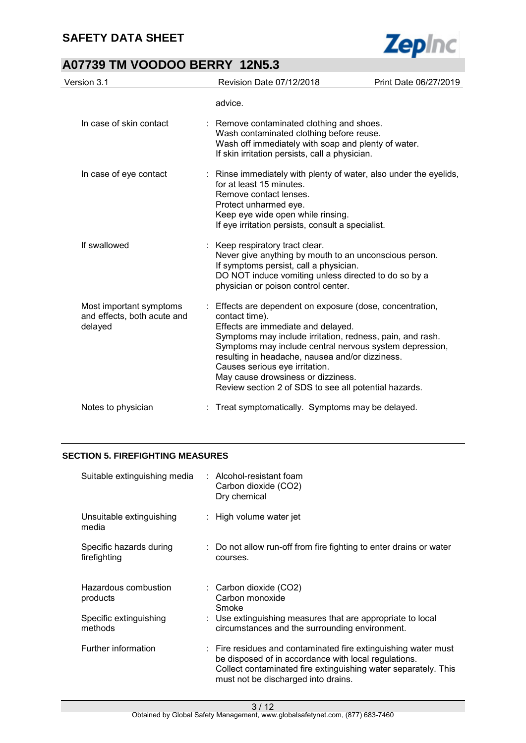

| Version 3.1                                                       | Revision Date 07/12/2018                                                                                                                                                                                                                                                                                                                                                                                                      | Print Date 06/27/2019 |
|-------------------------------------------------------------------|-------------------------------------------------------------------------------------------------------------------------------------------------------------------------------------------------------------------------------------------------------------------------------------------------------------------------------------------------------------------------------------------------------------------------------|-----------------------|
|                                                                   | advice.                                                                                                                                                                                                                                                                                                                                                                                                                       |                       |
| In case of skin contact                                           | : Remove contaminated clothing and shoes.<br>Wash contaminated clothing before reuse.<br>Wash off immediately with soap and plenty of water.<br>If skin irritation persists, call a physician.                                                                                                                                                                                                                                |                       |
| In case of eye contact                                            | : Rinse immediately with plenty of water, also under the eyelids,<br>for at least 15 minutes.<br>Remove contact lenses.<br>Protect unharmed eye.<br>Keep eye wide open while rinsing.<br>If eye irritation persists, consult a specialist.                                                                                                                                                                                    |                       |
| If swallowed                                                      | : Keep respiratory tract clear.<br>Never give anything by mouth to an unconscious person.<br>If symptoms persist, call a physician.<br>DO NOT induce vomiting unless directed to do so by a<br>physician or poison control center.                                                                                                                                                                                            |                       |
| Most important symptoms<br>and effects, both acute and<br>delayed | : Effects are dependent on exposure (dose, concentration,<br>contact time).<br>Effects are immediate and delayed.<br>Symptoms may include irritation, redness, pain, and rash.<br>Symptoms may include central nervous system depression,<br>resulting in headache, nausea and/or dizziness.<br>Causes serious eye irritation.<br>May cause drowsiness or dizziness.<br>Review section 2 of SDS to see all potential hazards. |                       |
| Notes to physician                                                | Treat symptomatically. Symptoms may be delayed.                                                                                                                                                                                                                                                                                                                                                                               |                       |

### **SECTION 5. FIREFIGHTING MEASURES**

| Suitable extinguishing media            | : Alcohol-resistant foam<br>Carbon dioxide (CO2)<br>Dry chemical                                                                                                                                                                           |
|-----------------------------------------|--------------------------------------------------------------------------------------------------------------------------------------------------------------------------------------------------------------------------------------------|
| Unsuitable extinguishing<br>media       | $:$ High volume water jet                                                                                                                                                                                                                  |
| Specific hazards during<br>firefighting | : Do not allow run-off from fire fighting to enter drains or water<br>courses.                                                                                                                                                             |
| Hazardous combustion<br>products        | $\therefore$ Carbon dioxide (CO2)<br>Carbon monoxide<br>Smoke                                                                                                                                                                              |
| Specific extinguishing<br>methods       | : Use extinguishing measures that are appropriate to local<br>circumstances and the surrounding environment.                                                                                                                               |
| Further information                     | $\therefore$ Fire residues and contaminated fire extinguishing water must<br>be disposed of in accordance with local regulations.<br>Collect contaminated fire extinguishing water separately. This<br>must not be discharged into drains. |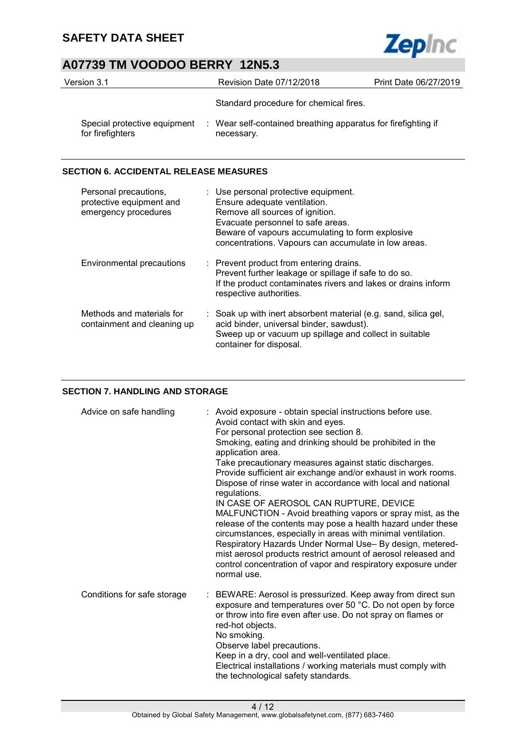

| Version 3.1                                      | Revision Date 07/12/2018                                                    | Print Date 06/27/2019 |
|--------------------------------------------------|-----------------------------------------------------------------------------|-----------------------|
|                                                  | Standard procedure for chemical fires.                                      |                       |
| Special protective equipment<br>for firefighters | : Wear self-contained breathing apparatus for firefighting if<br>necessary. |                       |

## **SECTION 6. ACCIDENTAL RELEASE MEASURES**

| Personal precautions,<br>protective equipment and<br>emergency procedures | : Use personal protective equipment.<br>Ensure adequate ventilation.<br>Remove all sources of ignition.<br>Evacuate personnel to safe areas.<br>Beware of vapours accumulating to form explosive<br>concentrations. Vapours can accumulate in low areas. |
|---------------------------------------------------------------------------|----------------------------------------------------------------------------------------------------------------------------------------------------------------------------------------------------------------------------------------------------------|
| <b>Environmental precautions</b>                                          | : Prevent product from entering drains.<br>Prevent further leakage or spillage if safe to do so.<br>If the product contaminates rivers and lakes or drains inform<br>respective authorities.                                                             |
| Methods and materials for<br>containment and cleaning up                  | : Soak up with inert absorbent material (e.g. sand, silica gel,<br>acid binder, universal binder, sawdust).<br>Sweep up or vacuum up spillage and collect in suitable<br>container for disposal.                                                         |

## **SECTION 7. HANDLING AND STORAGE**

| Advice on safe handling     | : Avoid exposure - obtain special instructions before use.<br>Avoid contact with skin and eyes.<br>For personal protection see section 8.<br>Smoking, eating and drinking should be prohibited in the<br>application area.<br>Take precautionary measures against static discharges.<br>Provide sufficient air exchange and/or exhaust in work rooms.<br>Dispose of rinse water in accordance with local and national<br>regulations.<br>IN CASE OF AEROSOL CAN RUPTURE, DEVICE<br>MALFUNCTION - Avoid breathing vapors or spray mist, as the<br>release of the contents may pose a health hazard under these<br>circumstances, especially in areas with minimal ventilation.<br>Respiratory Hazards Under Normal Use- By design, metered-<br>mist aerosol products restrict amount of aerosol released and<br>control concentration of vapor and respiratory exposure under<br>normal use. |
|-----------------------------|---------------------------------------------------------------------------------------------------------------------------------------------------------------------------------------------------------------------------------------------------------------------------------------------------------------------------------------------------------------------------------------------------------------------------------------------------------------------------------------------------------------------------------------------------------------------------------------------------------------------------------------------------------------------------------------------------------------------------------------------------------------------------------------------------------------------------------------------------------------------------------------------|
| Conditions for safe storage | : BEWARE: Aerosol is pressurized. Keep away from direct sun<br>exposure and temperatures over 50 °C. Do not open by force<br>or throw into fire even after use. Do not spray on flames or<br>red-hot objects.<br>No smoking.<br>Observe label precautions.<br>Keep in a dry, cool and well-ventilated place.<br>Electrical installations / working materials must comply with<br>the technological safety standards.                                                                                                                                                                                                                                                                                                                                                                                                                                                                        |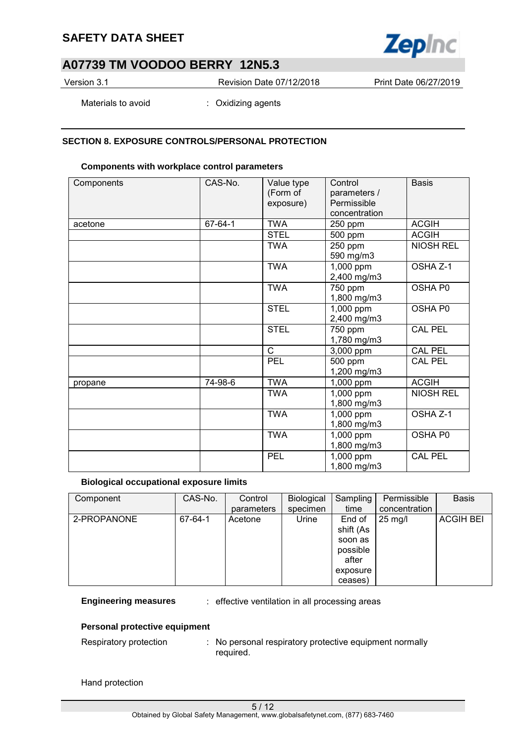

Version 3.1 Revision Date 07/12/2018 Print Date 06/27/2019

Materials to avoid : Oxidizing agents

#### **SECTION 8. EXPOSURE CONTROLS/PERSONAL PROTECTION**

#### **Components with workplace control parameters**

| Components | CAS-No. | Value type<br>(Form of<br>exposure) | Control<br>parameters /<br>Permissible<br>concentration | <b>Basis</b>     |
|------------|---------|-------------------------------------|---------------------------------------------------------|------------------|
| acetone    | 67-64-1 | <b>TWA</b>                          | 250 ppm                                                 | <b>ACGIH</b>     |
|            |         | <b>STEL</b>                         | 500 ppm                                                 | <b>ACGIH</b>     |
|            |         | <b>TWA</b>                          | 250 ppm<br>590 mg/m3                                    | <b>NIOSH REL</b> |
|            |         | <b>TWA</b>                          | 1,000 ppm<br>2,400 mg/m3                                | OSHA Z-1         |
|            |         | <b>TWA</b>                          | 750 ppm<br>1,800 mg/m3                                  | OSHA P0          |
|            |         | <b>STEL</b>                         | 1,000 ppm<br>2,400 mg/m3                                | OSHA P0          |
|            |         | <b>STEL</b>                         | 750 ppm<br>1,780 mg/m3                                  | <b>CAL PEL</b>   |
|            |         | $\mathsf{C}$                        | 3,000 ppm                                               | <b>CAL PEL</b>   |
|            |         | <b>PEL</b>                          | 500 ppm<br>1,200 mg/m3                                  | <b>CAL PEL</b>   |
| propane    | 74-98-6 | <b>TWA</b>                          | 1,000 ppm                                               | <b>ACGIH</b>     |
|            |         | <b>TWA</b>                          | 1,000 ppm<br>1,800 mg/m3                                | <b>NIOSH REL</b> |
|            |         | <b>TWA</b>                          | 1,000 ppm<br>1,800 mg/m3                                | OSHA Z-1         |
|            |         | <b>TWA</b>                          | 1,000 ppm<br>1,800 mg/m3                                | OSHA P0          |
|            |         | <b>PEL</b>                          | 1,000 ppm<br>1,800 mg/m3                                | <b>CAL PEL</b>   |

#### **Biological occupational exposure limits**

| Component   | CAS-No. | Control    | Biological | Sampling  | Permissible       | <b>Basis</b>     |
|-------------|---------|------------|------------|-----------|-------------------|------------------|
|             |         | parameters | specimen   | time      | concentration     |                  |
| 2-PROPANONE | 67-64-1 | Acetone    | Urine      | End of    | $25 \text{ mg/l}$ | <b>ACGIH BEI</b> |
|             |         |            |            | shift (As |                   |                  |
|             |         |            |            | soon as   |                   |                  |
|             |         |            |            | possible  |                   |                  |
|             |         |            |            | after     |                   |                  |
|             |         |            |            | exposure  |                   |                  |
|             |         |            |            | ceases)   |                   |                  |

**Engineering measures** : effective ventilation in all processing areas

#### **Personal protective equipment**

Respiratory protection : No personal respiratory protective equipment normally required.

Hand protection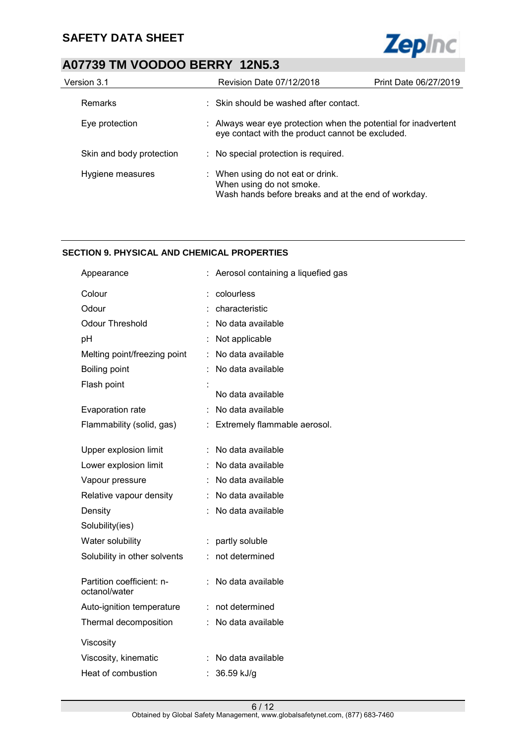

# **A07739 TM VOODOO BERRY 12N5.3**

| Version 3.1              | <b>Revision Date 07/12/2018</b>                               | Print Date 06/27/2019                                           |
|--------------------------|---------------------------------------------------------------|-----------------------------------------------------------------|
| <b>Remarks</b>           | : Skin should be washed after contact.                        |                                                                 |
| Eye protection           | eye contact with the product cannot be excluded.              | : Always wear eye protection when the potential for inadvertent |
| Skin and body protection | : No special protection is required.                          |                                                                 |
| Hygiene measures         | : When using do not eat or drink.<br>When using do not smoke. | Wash hands before breaks and at the end of workday.             |

### **SECTION 9. PHYSICAL AND CHEMICAL PROPERTIES**

| Appearance                                 |    | Aerosol containing a liquefied gas |
|--------------------------------------------|----|------------------------------------|
| Colour                                     |    | colourless                         |
| Odour                                      |    | characteristic                     |
| <b>Odour Threshold</b>                     |    | No data available                  |
| pH                                         |    | Not applicable                     |
| Melting point/freezing point               | t. | No data available                  |
| Boiling point                              | t. | No data available                  |
| Flash point                                |    |                                    |
|                                            |    | No data available                  |
| Evaporation rate                           | t  | No data available                  |
| Flammability (solid, gas)                  | t. | Extremely flammable aerosol.       |
| Upper explosion limit                      |    | No data available                  |
| Lower explosion limit                      |    | : No data available                |
| Vapour pressure                            |    | No data available                  |
| Relative vapour density                    |    | No data available                  |
| Density                                    |    | No data available                  |
| Solubility(ies)                            |    |                                    |
| Water solubility                           | t  | partly soluble                     |
| Solubility in other solvents               |    | not determined                     |
| Partition coefficient: n-<br>octanol/water |    | No data available                  |
| Auto-ignition temperature                  | ÷. | not determined                     |
| Thermal decomposition                      |    | No data available                  |
| Viscosity                                  |    |                                    |
| Viscosity, kinematic                       |    | No data available                  |
| Heat of combustion                         |    | 36.59 kJ/g                         |
|                                            |    |                                    |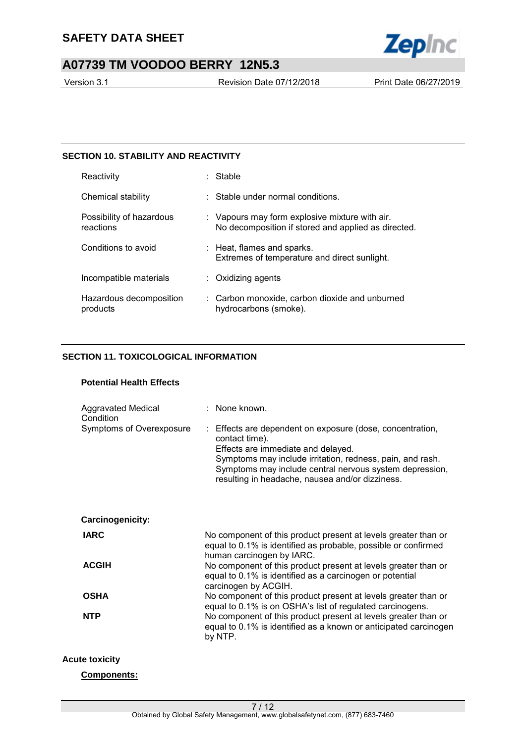

Version 3.1 Revision Date 07/12/2018 Print Date 06/27/2019

### **SECTION 10. STABILITY AND REACTIVITY**

| Reactivity                            | : Stable                                                                                              |
|---------------------------------------|-------------------------------------------------------------------------------------------------------|
| Chemical stability                    | $\pm$ Stable under normal conditions.                                                                 |
| Possibility of hazardous<br>reactions | : Vapours may form explosive mixture with air.<br>No decomposition if stored and applied as directed. |
| Conditions to avoid                   | $:$ Heat, flames and sparks.<br>Extremes of temperature and direct sunlight.                          |
| Incompatible materials                | $:$ Oxidizing agents                                                                                  |
| Hazardous decomposition<br>products   | : Carbon monoxide, carbon dioxide and unburned<br>hydrocarbons (smoke).                               |

### **SECTION 11. TOXICOLOGICAL INFORMATION**

## **Potential Health Effects**

| Aggravated Medical<br>Condition<br>Symptoms of Overexposure | : None known.<br>: Effects are dependent on exposure (dose, concentration,<br>contact time).<br>Effects are immediate and delayed.<br>Symptoms may include irritation, redness, pain, and rash.<br>Symptoms may include central nervous system depression,<br>resulting in headache, nausea and/or dizziness. |
|-------------------------------------------------------------|---------------------------------------------------------------------------------------------------------------------------------------------------------------------------------------------------------------------------------------------------------------------------------------------------------------|
| Carcinogenicity:                                            |                                                                                                                                                                                                                                                                                                               |
| <b>IARC</b>                                                 | No component of this product present at levels greater than or<br>equal to 0.1% is identified as probable, possible or confirmed<br>human carcinogen by IARC.                                                                                                                                                 |
| <b>ACGIH</b>                                                | No component of this product present at levels greater than or<br>equal to 0.1% is identified as a carcinogen or potential<br>carcinogen by ACGIH.                                                                                                                                                            |
| <b>OSHA</b>                                                 | No component of this product present at levels greater than or<br>equal to 0.1% is on OSHA's list of regulated carcinogens.                                                                                                                                                                                   |
| <b>NTP</b>                                                  | No component of this product present at levels greater than or<br>equal to 0.1% is identified as a known or anticipated carcinogen<br>by NTP.                                                                                                                                                                 |

### **Acute toxicity**

**Components:**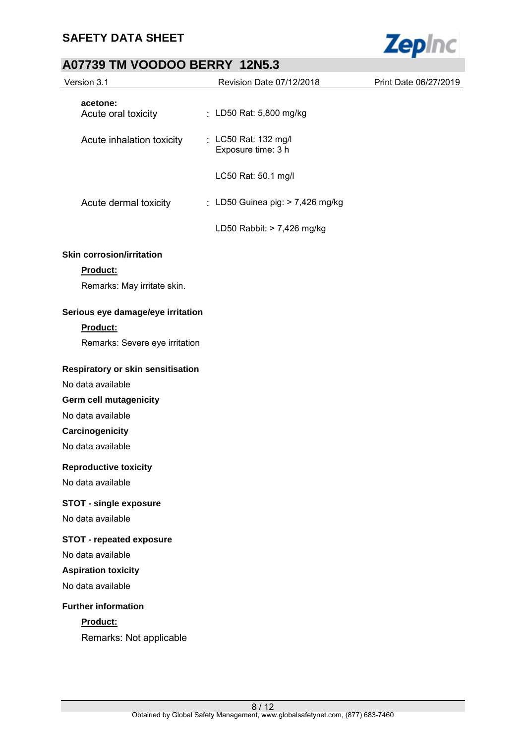

# **A07739 TM VOODOO BERRY 12N5.3**

| AVI 1994 INI VOODOO DEIWII        |                                            |                       |
|-----------------------------------|--------------------------------------------|-----------------------|
| Version 3.1                       | Revision Date 07/12/2018                   | Print Date 06/27/2019 |
| acetone:<br>Acute oral toxicity   | : LD50 Rat: 5,800 mg/kg                    |                       |
| Acute inhalation toxicity         | : LC50 Rat: 132 mg/l<br>Exposure time: 3 h |                       |
|                                   | LC50 Rat: 50.1 mg/l                        |                       |
| Acute dermal toxicity             | : LD50 Guinea pig: > 7,426 mg/kg           |                       |
|                                   | LD50 Rabbit: > 7,426 mg/kg                 |                       |
| <b>Skin corrosion/irritation</b>  |                                            |                       |
| Product:                          |                                            |                       |
| Remarks: May irritate skin.       |                                            |                       |
| Serious eye damage/eye irritation |                                            |                       |
| Product:                          |                                            |                       |
| Remarks: Severe eye irritation    |                                            |                       |
| Respiratory or skin sensitisation |                                            |                       |
| No data available                 |                                            |                       |
| Germ cell mutagenicity            |                                            |                       |
| No data available                 |                                            |                       |
| Carcinogenicity                   |                                            |                       |
| No data available                 |                                            |                       |
| <b>Reproductive toxicity</b>      |                                            |                       |
| No data available                 |                                            |                       |
| <b>STOT - single exposure</b>     |                                            |                       |
| No data available                 |                                            |                       |
| <b>STOT - repeated exposure</b>   |                                            |                       |
| No data available                 |                                            |                       |
| <b>Aspiration toxicity</b>        |                                            |                       |
| No data available                 |                                            |                       |
| <b>Further information</b>        |                                            |                       |
| Product:                          |                                            |                       |
| Remarks: Not applicable           |                                            |                       |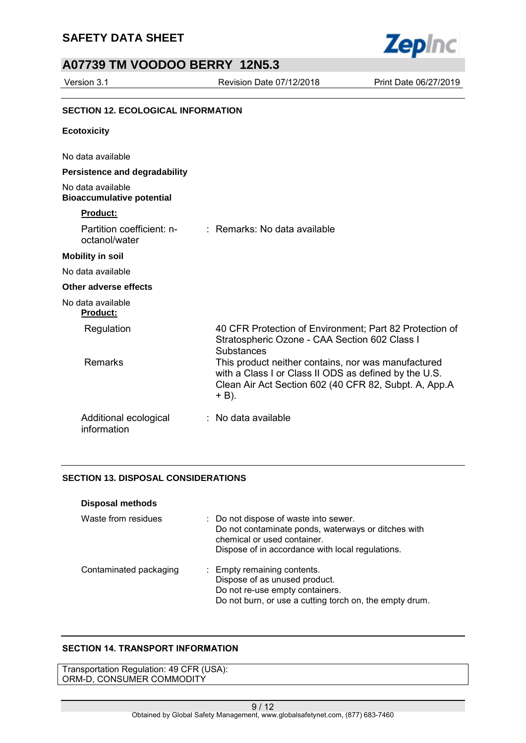

## **A07739 TM VOODOO BERRY 12N5.3**

Version 3.1 Revision Date 07/12/2018 Print Date 06/27/2019

#### **SECTION 12. ECOLOGICAL INFORMATION**

#### **Ecotoxicity**

No data available

#### **Persistence and degradability**

No data available **Bioaccumulative potential** 

### **Product:**

| Partition coefficient: n-<br>octanol/water | : Remarks: No data available                                                                                                                                                   |
|--------------------------------------------|--------------------------------------------------------------------------------------------------------------------------------------------------------------------------------|
| <b>Mobility in soil</b>                    |                                                                                                                                                                                |
| No data available                          |                                                                                                                                                                                |
| Other adverse effects                      |                                                                                                                                                                                |
| No data available<br><b>Product:</b>       |                                                                                                                                                                                |
| Regulation                                 | 40 CFR Protection of Environment; Part 82 Protection of<br>Stratospheric Ozone - CAA Section 602 Class I<br><b>Substances</b>                                                  |
| <b>Remarks</b>                             | This product neither contains, nor was manufactured<br>with a Class I or Class II ODS as defined by the U.S.<br>Clean Air Act Section 602 (40 CFR 82, Subpt. A, App.A<br>+ B). |
| Additional ecological<br>information       | $\therefore$ No data available.                                                                                                                                                |

#### **SECTION 13. DISPOSAL CONSIDERATIONS**

| <b>Disposal methods</b> |                                                                                                                                                                                 |
|-------------------------|---------------------------------------------------------------------------------------------------------------------------------------------------------------------------------|
| Waste from residues     | : Do not dispose of waste into sewer.<br>Do not contaminate ponds, waterways or ditches with<br>chemical or used container.<br>Dispose of in accordance with local regulations. |
| Contaminated packaging  | : Empty remaining contents.<br>Dispose of as unused product.<br>Do not re-use empty containers.<br>Do not burn, or use a cutting torch on, the empty drum.                      |

#### **SECTION 14. TRANSPORT INFORMATION**

Transportation Regulation: 49 CFR (USA): ORM-D, CONSUMER COMMODITY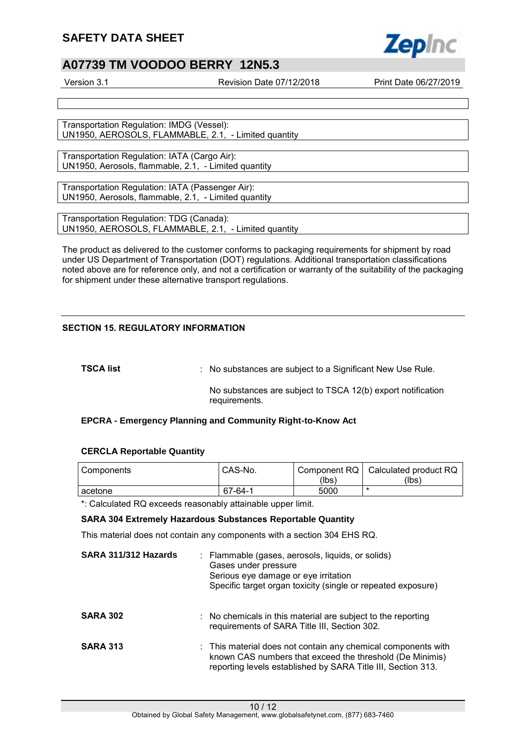## **A07739 TM VOODOO BERRY 12N5.3**

Version 3.1 Revision Date 07/12/2018 Print Date 06/27/2019

Transportation Regulation: IMDG (Vessel): UN1950, AEROSOLS, FLAMMABLE, 2.1, - Limited quantity

Transportation Regulation: IATA (Cargo Air): UN1950, Aerosols, flammable, 2.1, - Limited quantity

Transportation Regulation: IATA (Passenger Air): UN1950, Aerosols, flammable, 2.1, - Limited quantity

Transportation Regulation: TDG (Canada): UN1950, AEROSOLS, FLAMMABLE, 2.1, - Limited quantity

The product as delivered to the customer conforms to packaging requirements for shipment by road under US Department of Transportation (DOT) regulations. Additional transportation classifications noted above are for reference only, and not a certification or warranty of the suitability of the packaging for shipment under these alternative transport regulations.

### **SECTION 15. REGULATORY INFORMATION**

**TSCA list EXECA list EXECA list 1 CO**  $\overline{a}$  **C**  $\overline{b}$  **C**  $\overline{c}$  **C**  $\overline{c}$  **C**  $\overline{c}$  **C**  $\overline{c}$  **C**  $\overline{c}$  **C**  $\overline{c}$  **C**  $\overline{c}$  **C**  $\overline{c}$  **C**  $\overline{c}$  **C**  $\overline{c}$  **C**  $\overline{c}$  **C**  $\overline{c$ 

No substances are subject to TSCA 12(b) export notification requirements.

#### **EPCRA - Emergency Planning and Community Right-to-Know Act**

#### **CERCLA Reportable Quantity**

| l Components | CAS-No. |       | Component RQ   Calculated product RQ |
|--------------|---------|-------|--------------------------------------|
|              |         | (lbs) | (lbs)                                |
| l acetone    | 67-64-1 | 5000  |                                      |

\*: Calculated RQ exceeds reasonably attainable upper limit.

#### **SARA 304 Extremely Hazardous Substances Reportable Quantity**

This material does not contain any components with a section 304 EHS RQ.

| SARA 311/312 Hazards | : Flammable (gases, aerosols, liquids, or solids)<br>Gases under pressure<br>Serious eye damage or eye irritation<br>Specific target organ toxicity (single or repeated exposure)         |
|----------------------|-------------------------------------------------------------------------------------------------------------------------------------------------------------------------------------------|
| <b>SARA 302</b>      | : No chemicals in this material are subject to the reporting<br>requirements of SARA Title III, Section 302.                                                                              |
| <b>SARA 313</b>      | : This material does not contain any chemical components with<br>known CAS numbers that exceed the threshold (De Minimis)<br>reporting levels established by SARA Title III, Section 313. |

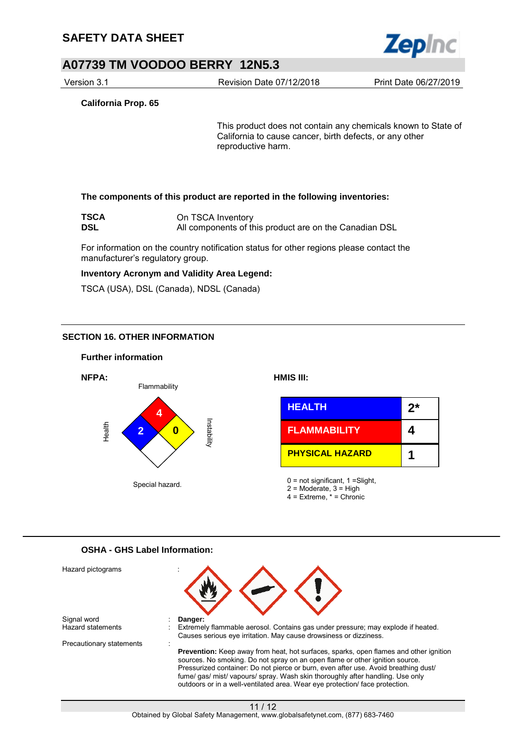

Version 3.1 Revision Date 07/12/2018 Print Date 06/27/2019

**California Prop. 65**

This product does not contain any chemicals known to State of California to cause cancer, birth defects, or any other reproductive harm.

#### **The components of this product are reported in the following inventories:**

| <b>TSCA</b> | On TSCA Inventory                                      |
|-------------|--------------------------------------------------------|
| <b>DSL</b>  | All components of this product are on the Canadian DSL |

For information on the country notification status for other regions please contact the manufacturer's regulatory group.

#### **Inventory Acronym and Validity Area Legend:**

TSCA (USA), DSL (Canada), NDSL (Canada)

### **SECTION 16. OTHER INFORMATION**

#### **Further information**



### **OSHA - GHS Label Information:**

| Hazard pictograms        |                                                                                                                                                                                                                                                                                                                                                                                                                                    |
|--------------------------|------------------------------------------------------------------------------------------------------------------------------------------------------------------------------------------------------------------------------------------------------------------------------------------------------------------------------------------------------------------------------------------------------------------------------------|
| Signal word              | Danger:                                                                                                                                                                                                                                                                                                                                                                                                                            |
| Hazard statements        | Extremely flammable aerosol. Contains gas under pressure; may explode if heated.<br>Causes serious eye irritation. May cause drowsiness or dizziness.                                                                                                                                                                                                                                                                              |
| Precautionary statements |                                                                                                                                                                                                                                                                                                                                                                                                                                    |
|                          | <b>Prevention:</b> Keep away from heat, hot surfaces, sparks, open flames and other ignition<br>sources. No smoking. Do not spray on an open flame or other ignition source.<br>Pressurized container: Do not pierce or burn, even after use. Avoid breathing dust/<br>fume/gas/ mist/vapours/spray. Wash skin thoroughly after handling. Use only<br>outdoors or in a well-ventilated area. Wear eye protection/ face protection. |